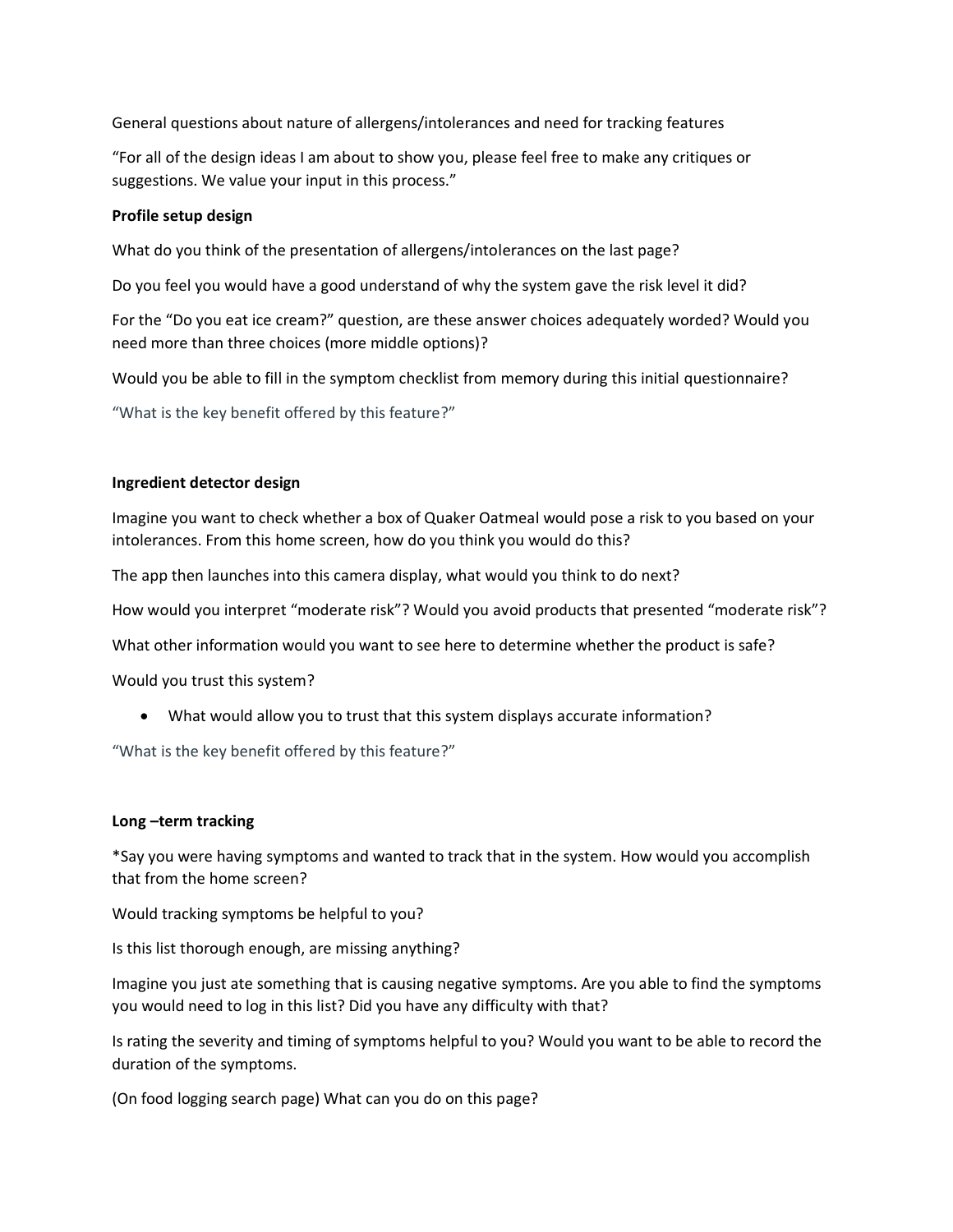General questions about nature of allergens/intolerances and need for tracking features

"For all of the design ideas I am about to show you, please feel free to make any critiques or suggestions. We value your input in this process."

## **Profile setup design**

What do you think of the presentation of allergens/intolerances on the last page?

Do you feel you would have a good understand of why the system gave the risk level it did?

For the "Do you eat ice cream?" question, are these answer choices adequately worded? Would you need more than three choices (more middle options)?

Would you be able to fill in the symptom checklist from memory during this initial questionnaire?

"What is the key benefit offered by this feature?"

# **Ingredient detector design**

Imagine you want to check whether a box of Quaker Oatmeal would pose a risk to you based on your intolerances. From this home screen, how do you think you would do this?

The app then launches into this camera display, what would you think to do next?

How would you interpret "moderate risk"? Would you avoid products that presented "moderate risk"?

What other information would you want to see here to determine whether the product is safe?

Would you trust this system?

• What would allow you to trust that this system displays accurate information?

"What is the key benefit offered by this feature?"

## **Long –term tracking**

\*Say you were having symptoms and wanted to track that in the system. How would you accomplish that from the home screen?

Would tracking symptoms be helpful to you?

Is this list thorough enough, are missing anything?

Imagine you just ate something that is causing negative symptoms. Are you able to find the symptoms you would need to log in this list? Did you have any difficulty with that?

Is rating the severity and timing of symptoms helpful to you? Would you want to be able to record the duration of the symptoms.

(On food logging search page) What can you do on this page?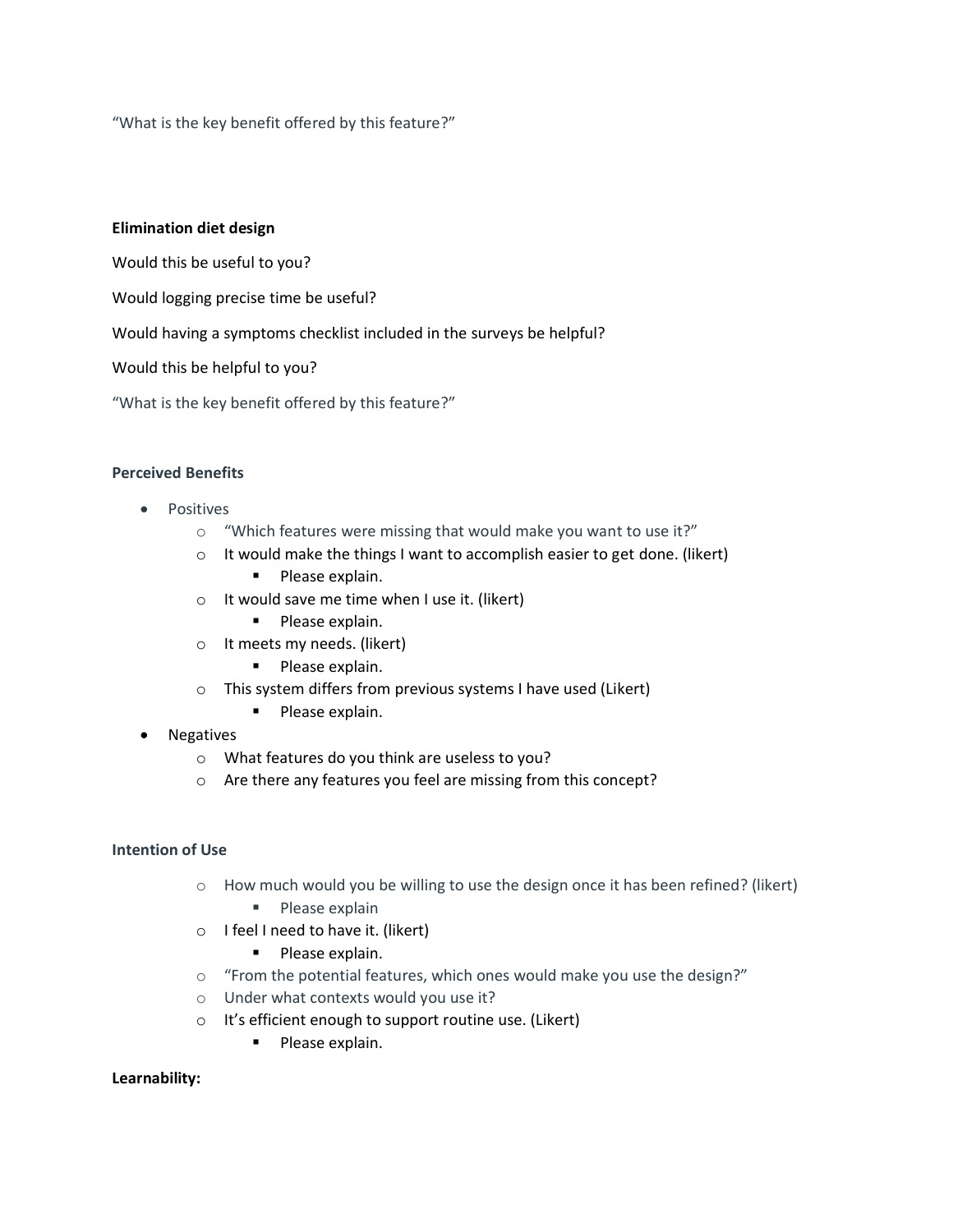"What is the key benefit offered by this feature?"

### **Elimination diet design**

Would this be useful to you?

Would logging precise time be useful?

Would having a symptoms checklist included in the surveys be helpful?

Would this be helpful to you?

"What is the key benefit offered by this feature?"

### **Perceived Benefits**

- Positives
	- o "Which features were missing that would make you want to use it?"
	- o It would make the things I want to accomplish easier to get done. (likert)
		- Please explain.
	- o It would save me time when I use it. (likert)
		- **·** Please explain.
	- o It meets my needs. (likert)
		- **·** Please explain.
	- o This system differs from previous systems I have used (Likert)
		- **·** Please explain.
- **Negatives** 
	- o What features do you think are useless to you?
	- o Are there any features you feel are missing from this concept?

#### **Intention of Use**

- $\circ$  How much would you be willing to use the design once it has been refined? (likert)
	- Please explain
- o I feel I need to have it. (likert)
	- Please explain.
- o "From the potential features, which ones would make you use the design?"
- o Under what contexts would you use it?
- o It's efficient enough to support routine use. (Likert)
	- Please explain.

#### **Learnability:**